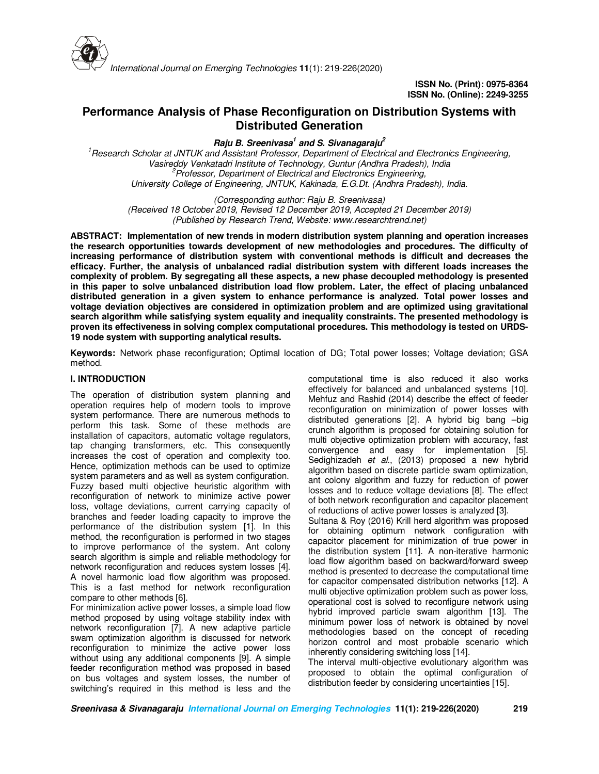

# **Performance Analysis of Phase Reconfiguration on Distribution Systems with Distributed Generation**

**Raju B. Sreenivasa<sup>1</sup> and S. Sivanagaraju<sup>2</sup>**

*<sup>1</sup>Research Scholar at JNTUK and Assistant Professor, Department of Electrical and Electronics Engineering, Vasireddy Venkatadri Institute of Technology, Guntur (Andhra Pradesh), India <sup>2</sup>Professor, Department of Electrical and Electronics Engineering, University College of Engineering, JNTUK, Kakinada, E.G.Dt. (Andhra Pradesh), India.* 

*(Corresponding author: Raju B. Sreenivasa)* 

*(Received 18 October 2019, Revised 12 December 2019, Accepted 21 December 2019) (Published by Research Trend, Website: www.researchtrend.net)*

**ABSTRACT: Implementation of new trends in modern distribution system planning and operation increases the research opportunities towards development of new methodologies and procedures. The difficulty of increasing performance of distribution system with conventional methods is difficult and decreases the efficacy. Further, the analysis of unbalanced radial distribution system with different loads increases the complexity of problem. By segregating all these aspects, a new phase decoupled methodology is presented in this paper to solve unbalanced distribution load flow problem. Later, the effect of placing unbalanced distributed generation in a given system to enhance performance is analyzed. Total power losses and voltage deviation objectives are considered in optimization problem and are optimized using gravitational search algorithm while satisfying system equality and inequality constraints. The presented methodology is proven its effectiveness in solving complex computational procedures. This methodology is tested on URDS-19 node system with supporting analytical results.** 

**Keywords:** Network phase reconfiguration; Optimal location of DG; Total power losses; Voltage deviation; GSA method.

# **I. INTRODUCTION**

The operation of distribution system planning and operation requires help of modern tools to improve system performance. There are numerous methods to perform this task. Some of these methods are installation of capacitors, automatic voltage regulators, tap changing transformers, etc. This consequently increases the cost of operation and complexity too. Hence, optimization methods can be used to optimize system parameters and as well as system configuration. Fuzzy based multi objective heuristic algorithm with reconfiguration of network to minimize active power loss, voltage deviations, current carrying capacity of branches and feeder loading capacity to improve the performance of the distribution system [1]. In this method, the reconfiguration is performed in two stages to improve performance of the system. Ant colony search algorithm is simple and reliable methodology for network reconfiguration and reduces system losses [4]. A novel harmonic load flow algorithm was proposed. This is a fast method for network reconfiguration compare to other methods [6].

For minimization active power losses, a simple load flow method proposed by using voltage stability index with network reconfiguration [7]. A new adaptive particle swam optimization algorithm is discussed for network reconfiguration to minimize the active power loss without using any additional components [9]. A simple feeder reconfiguration method was proposed in based on bus voltages and system losses, the number of switching's required in this method is less and the

computational time is also reduced it also works effectively for balanced and unbalanced systems [10]. Mehfuz and Rashid (2014) describe the effect of feeder reconfiguration on minimization of power losses with distributed generations [2]. A hybrid big bang –big crunch algorithm is proposed for obtaining solution for multi objective optimization problem with accuracy, fast convergence and easy for implementation [5]. Sedighizadeh *et al.*, (2013) proposed a new hybrid algorithm based on discrete particle swam optimization, ant colony algorithm and fuzzy for reduction of power losses and to reduce voltage deviations [8]. The effect of both network reconfiguration and capacitor placement of reductions of active power losses is analyzed [3].

Sultana & Roy (2016) Krill herd algorithm was proposed for obtaining optimum network configuration with capacitor placement for minimization of true power in the distribution system [11]. A non-iterative harmonic load flow algorithm based on backward/forward sweep method is presented to decrease the computational time for capacitor compensated distribution networks [12]. A multi objective optimization problem such as power loss, operational cost is solved to reconfigure network using hybrid improved particle swam algorithm [13]. The minimum power loss of network is obtained by novel methodologies based on the concept of receding horizon control and most probable scenario which inherently considering switching loss [14].

The interval multi-objective evolutionary algorithm was proposed to obtain the optimal configuration of distribution feeder by considering uncertainties [15].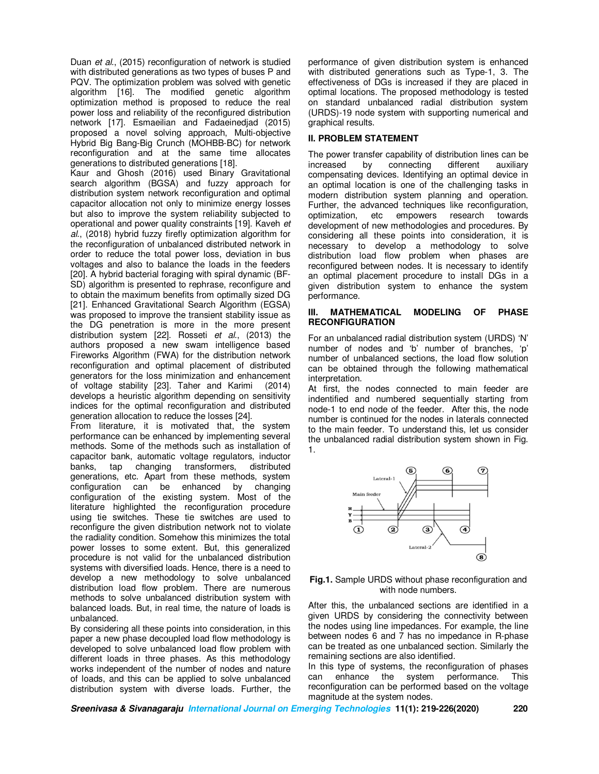Duan *et al.*, (2015) reconfiguration of network is studied with distributed generations as two types of buses P and PQV. The optimization problem was solved with genetic algorithm [16]. The modified genetic algorithm optimization method is proposed to reduce the real power loss and reliability of the reconfigured distribution network [17]. Esmaeilian and Fadaeinedjad (2015) proposed a novel solving approach, Multi-objective Hybrid Big Bang-Big Crunch (MOHBB-BC) for network reconfiguration and at the same time allocates generations to distributed generations [18].

Kaur and Ghosh (2016) used Binary Gravitational search algorithm (BGSA) and fuzzy approach for distribution system network reconfiguration and optimal capacitor allocation not only to minimize energy losses but also to improve the system reliability subjected to operational and power quality constraints [19]. Kaveh *et al.*, (2018) hybrid fuzzy firefly optimization algorithm for the reconfiguration of unbalanced distributed network in order to reduce the total power loss, deviation in bus voltages and also to balance the loads in the feeders [20]. A hybrid bacterial foraging with spiral dynamic (BF-SD) algorithm is presented to rephrase, reconfigure and to obtain the maximum benefits from optimally sized DG [21]. Enhanced Gravitational Search Algorithm (EGSA) was proposed to improve the transient stability issue as the DG penetration is more in the more present distribution system [22]. Rosseti *et al.*, (2013) the authors proposed a new swam intelligence based Fireworks Algorithm (FWA) for the distribution network reconfiguration and optimal placement of distributed generators for the loss minimization and enhancement of voltage stability [23]. Taher and Karimi (2014) develops a heuristic algorithm depending on sensitivity indices for the optimal reconfiguration and distributed generation allocation to reduce the losses [24].

From literature, it is motivated that, the system performance can be enhanced by implementing several methods. Some of the methods such as installation of capacitor bank, automatic voltage regulators, inductor banks, tap changing transformers, distributed generations, etc. Apart from these methods, system configuration can be enhanced by changing configuration of the existing system. Most of the literature highlighted the reconfiguration procedure using tie switches. These tie switches are used to reconfigure the given distribution network not to violate the radiality condition. Somehow this minimizes the total power losses to some extent. But, this generalized procedure is not valid for the unbalanced distribution systems with diversified loads. Hence, there is a need to develop a new methodology to solve unbalanced distribution load flow problem. There are numerous methods to solve unbalanced distribution system with balanced loads. But, in real time, the nature of loads is unbalanced.

By considering all these points into consideration, in this paper a new phase decoupled load flow methodology is developed to solve unbalanced load flow problem with different loads in three phases. As this methodology works independent of the number of nodes and nature of loads, and this can be applied to solve unbalanced distribution system with diverse loads. Further, the

performance of given distribution system is enhanced with distributed generations such as Type-1, 3. The effectiveness of DGs is increased if they are placed in optimal locations. The proposed methodology is tested on standard unbalanced radial distribution system (URDS)-19 node system with supporting numerical and graphical results.

### **II. PROBLEM STATEMENT**

The power transfer capability of distribution lines can be increased by connecting different auxiliary compensating devices. Identifying an optimal device in an optimal location is one of the challenging tasks in modern distribution system planning and operation. Further, the advanced techniques like reconfiguration, optimization, etc empowers research towards development of new methodologies and procedures. By considering all these points into consideration, it is necessary to develop a methodology to solve distribution load flow problem when phases are reconfigured between nodes. It is necessary to identify an optimal placement procedure to install DGs in a given distribution system to enhance the system performance.

#### **INATHEMATICAL MODELING OF PHASE RECONFIGURATION**

For an unbalanced radial distribution system (URDS) 'N' number of nodes and 'b' number of branches, 'p' number of unbalanced sections, the load flow solution can be obtained through the following mathematical interpretation.

At first, the nodes connected to main feeder are indentified and numbered sequentially starting from node-1 to end node of the feeder. After this, the node number is continued for the nodes in laterals connected to the main feeder. To understand this, let us consider the unbalanced radial distribution system shown in Fig. 1.





After this, the unbalanced sections are identified in a given URDS by considering the connectivity between the nodes using line impedances. For example, the line between nodes 6 and 7 has no impedance in R-phase can be treated as one unbalanced section. Similarly the remaining sections are also identified.

In this type of systems, the reconfiguration of phases can enhance the system performance. This can enhance the system reconfiguration can be performed based on the voltage magnitude at the system nodes.

**Sreenivasa & Sivanagaraju International Journal on Emerging Technologies 11(1): 219-226(2020) 220**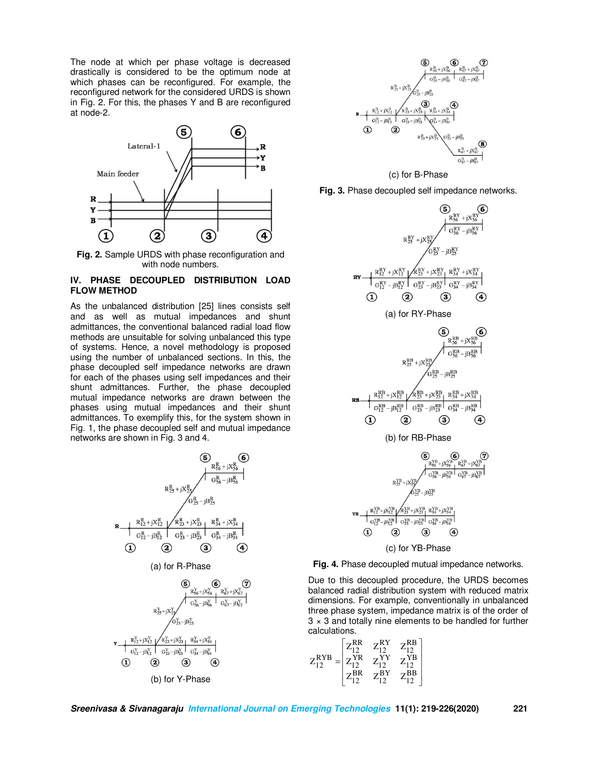The node at which per phase voltage is decreased drastically is considered to be the optimum node at which phases can be reconfigured. For example, the reconfigured network for the considered URDS is shown in Fig. 2. For this, the phases Y and B are reconfigured at node-2.



**Fig. 2.** Sample URDS with phase reconfiguration and with node numbers.

# **IV. PHASE DECOUPLED DISTRIBUTION LOAD FLOW METHOD**

As the unbalanced distribution [25] lines consists self and as well as mutual impedances and shunt admittances, the conventional balanced radial load flow methods are unsuitable for solving unbalanced this type of systems. Hence, a novel methodology is proposed using the number of unbalanced sections. In this, the phase decoupled self impedance networks are drawn for each of the phases using self impedances and their shunt admittances. Further, the phase decoupled mutual impedance networks are drawn between the phases using mutual impedances and their shunt admittances. To exemplify this, for the system shown in Fig. 1, the phase decoupled self and mutual impedance networks are shown in Fig. 3 and 4.





(c) for B-Phase









Due to this decoupled procedure, the URDS becomes balanced radial distribution system with reduced matrix dimensions. For example, conventionally in unbalanced three phase system, impedance matrix is of the order of  $3 \times 3$  and totally nine elements to be handled for further calculations.

$$
Z^{\text{RYB}}_{12} = \begin{bmatrix} Z^{\text{RR}}_{12} & Z^{\text{RY}}_{12} & Z^{\text{RB}}_{12} \\ Z^{\text{YR}}_{12} & Z^{\text{YY}}_{12} & Z^{\text{YB}}_{12} \\ Z^{\text{BR}}_{12} & Z^{\text{BY}}_{12} & Z^{\text{BB}}_{12} \end{bmatrix}
$$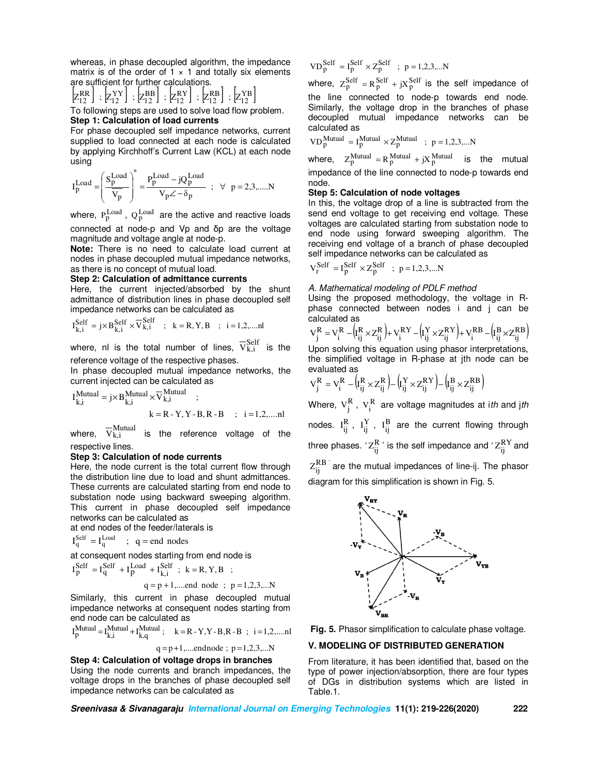whereas, in phase decoupled algorithm, the impedance matrix is of the order of  $1 \times 1$  and totally six elements are sufficient for further calculations.

$$
\begin{bmatrix} \n\mathbf{R} \mathbf{R} \\
\mathbf{R}^{\mathbf{R}} \\
\mathbf{R}^{\mathbf{R}} \\
\mathbf{R}^{\mathbf{R}}\n\end{bmatrix}, \n\begin{bmatrix} \n\mathbf{X} \mathbf{Y} \\
\mathbf{Z} \mathbf{Y} \\
\mathbf{Z}^{\mathbf{R}}\n\end{bmatrix}, \n\begin{bmatrix} \n\mathbf{Z} \mathbf{R} \mathbf{Y} \\
\mathbf{Z} \mathbf{Y} \\
\mathbf{Z}^{\mathbf{R}}\n\end{bmatrix}, \n\begin{bmatrix} \n\mathbf{Z} \mathbf{R} \mathbf{B} \\
\mathbf{Z} \mathbf{Y} \\
\mathbf{Z} \mathbf{Y} \\
\mathbf{Z} \n\end{bmatrix}
$$

To following steps are used to solve load flow problem. **Step 1: Calculation of load currents** 

For phase decoupled self impedance networks, current supplied to load connected at each node is calculated by applying Kirchhoff's Current Law (KCL) at each node using

$$
I_{p}^{Load}=\left(\frac{S_{p}^{Load}}{\overline{V_{p}}}\right)^{*}=\frac{P_{p}^{Load}-jQ_{p}^{Load}}{V_{p}\angle-\delta_{p}}\hspace{5mm};\hspace{5mm}\forall\hspace{5mm}p=2,3,......N
$$

where,  $P_p^{\rm Load}$  ,  $Q_p^{\rm Load}$  are the active and reactive loads connected at node-p and Vp and δp are the voltage magnitude and voltage angle at node-p.

**Note:** There is no need to calculate load current at nodes in phase decoupled mutual impedance networks, as there is no concept of mutual load.

#### **Step 2: Calculation of admittance currents**

Here, the current injected/absorbed by the shunt admittance of distribution lines in phase decoupled self impedance networks can be calculated as

$$
I_{k,i}^{Self} = j \times B_{k,i}^{Self} \times \overline{V}_{k,i}^{Self} \quad ; \quad k = R, Y, B \quad ; \quad i = 1, 2, \dots \text{nl}
$$

where, nl is the total number of lines,  $\overline{V}_{k,i}^{Self}$  is the reference voltage of the respective phases.

In phase decoupled mutual impedance networks, the current injected can be calculated as

$$
I_{k,i}^{Mutual} = j \times B_{k,i}^{Mutual} \times \overline{V}_{k,i}^{Mutual} ;
$$
  

$$
k = R - Y, Y - B, R - B ; i = 1,2, ....nl
$$

where,  $\nabla_{k,i}^{Mutual}$  is the reference voltage of the respective lines.

#### **Step 3: Calculation of node currents**

Here, the node current is the total current flow through the distribution line due to load and shunt admittances. These currents are calculated starting from end node to substation node using backward sweeping algorithm. This current in phase decoupled self impedance networks can be calculated as

at end nodes of the feeder/laterals is

$$
I_q^{\text{Self}} = I_q^{\text{Load}} \quad ; \quad q = \text{end nodes}
$$

at consequent nodes starting from end node is

$$
I_P^{\text{Self}} = I_q^{\text{Self}} + I_P^{\text{Load}} + I_{k,i}^{\text{Self}} \; ; \; k = R, Y, B \; ;
$$
  
 
$$
q = p + 1, \dots \text{end node} \; ; \; p = 1, 2, 3, \dots N
$$

Similarly, this current in phase decoupled mutual impedance networks at consequent nodes starting from end node can be calculated as

$$
I_{p}^{\text{Mutual}} = I_{k,i}^{\text{Mutual}} + I_{k,q}^{\text{Mutual}}; \quad k = R - Y, Y - B, R - B \quad ; \quad i = 1, 2, \dots, n
$$

 $q = p+1, \dots$ endnode;  $p = 1, 2, 3, \dots N$ 

**Step 4: Calculation of voltage drops in branches**  Using the node currents and branch impedances, the voltage drops in the branches of phase decoupled self impedance networks can be calculated as

$$
VD_p^{\text{Self}} = I_p^{\text{Self}} \times Z_p^{\text{Self}} \quad ; \quad p = 1, 2, 3, \dots N
$$

where,  $Z_p^{\text{Self}} = R_p^{\text{Self}} + jX_p^{\text{Self}}$  is the self impedance of the line connected to node-p towards end node. Similarly, the voltage drop in the branches of phase decoupled mutual impedance networks can be calculated as

$$
VD_p^{Mutual} = I_p^{Mutual} \times Z_p^{Mutual} \; ; \; p = 1,2,3,...N
$$

where,  $Z_p^{Mutual} = R_p^{Mutual} + jX_p^{Mutual}$  is the mutual impedance of the line connected to node-p towards end node.

#### **Step 5: Calculation of node voltages**

In this, the voltage drop of a line is subtracted from the send end voltage to get receiving end voltage. These voltages are calculated starting from substation node to end node using forward sweeping algorithm. The receiving end voltage of a branch of phase decoupled self impedance networks can be calculated as

$$
V_r^{\text{Self}} = I_p^{\text{Self}} \times Z_p^{\text{Self}} \; ; \; p = 1, 2, 3, \dots N
$$

#### *A. Mathematical modeling of PDLF method*

Using the proposed methodology, the voltage in Rphase connected between nodes i and j can be calculated as

$$
V_j^R = V_i^R - \left(I_{ij}^R \times Z_{ij}^R\right) + V_i^{RY} - \left(I_{ij}^Y \times Z_{ij}^{RY}\right) + V_i^{RB} - \left(I_{ij}^B \times Z_{ij}^{RB}\right)
$$

Upon solving this equation using phasor interpretations, the simplified voltage in R-phase at jth node can be evaluated as  $\mathcal{L}^{\text{max}}$ 

$$
V_j^R = V_i^R - (I_{ij}^R \times Z_{ij}^R) - (I_{ij}^Y \times Z_{ij}^{RY}) - (I_{ij}^B \times Z_{ij}^{RB})
$$

Where,  $\bm{\mathrm{v}}_{\mathrm{j}}^{\mathrm{R}}$  ,  $\bm{\mathrm{v}}_{\mathrm{i}}^{\mathrm{R}}$  are voltage magnitudes at i*th* and j*th* nodes.  $I_{ij}^{R}$ ,  $I_{ij}^{Y}$ ,  $I_{ij}^{B}$  are the current flowing through three phases.  ${}^tZ^{\rm R}_{\rm ij}$  is the self impedance and  ${}^tZ^{\rm RY}_{\rm ij}$  and  $Z_{ij}^{RB}$  are the mutual impedances of line-ij. The phasor diagram for this simplification is shown in Fig. 5.



**Fig. 5.** Phasor simplification to calculate phase voltage.

# **V. MODELING OF DISTRIBUTED GENERATION**

From literature, it has been identified that, based on the type of power injection/absorption, there are four types of DGs in distribution systems which are listed in Table.1.

**Sreenivasa & Sivanagaraju International Journal on Emerging Technologies 11(1): 219-226(2020) 222**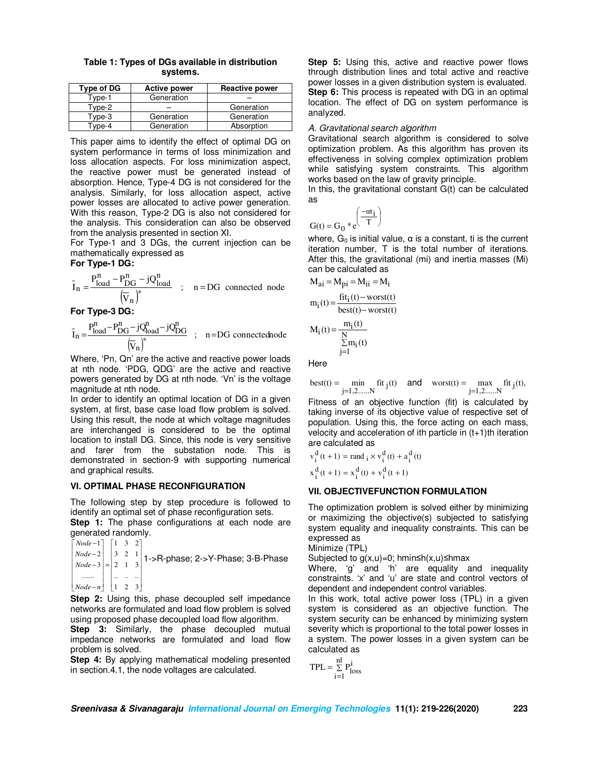**Table 1: Types of DGs available in distribution systems.** 

| Type of DG | <b>Active power</b> | <b>Reactive power</b> |  |  |
|------------|---------------------|-----------------------|--|--|
| Type-1     | Generation          |                       |  |  |
| Type-2     |                     | Generation            |  |  |
| Type-3     | Generation          | Generation            |  |  |
| vpe-4      | Generation          | Absorption            |  |  |

This paper aims to identify the effect of optimal DG on system performance in terms of loss minimization and loss allocation aspects. For loss minimization aspect, the reactive power must be generated instead of absorption. Hence, Type-4 DG is not considered for the analysis. Similarly, for loss allocation aspect, active power losses are allocated to active power generation. With this reason, Type-2 DG is also not considered for the analysis. This consideration can also be observed from the analysis presented in section XI.

For Type-1 and 3 DGs, the current injection can be mathematically expressed as

# **For Type-1 DG:**

$$
\bar{I}_n = \frac{P_{load}^n - P_{DG}^n - jQ_{load}^n}{(\bar{V}_n)^*} \quad ; \quad n = DG \ \ connected \ node
$$

**For Type-3 DG:** 

$$
\bar{I}_n\!=\!\!\frac{P_{load}^n\!-\!P_{DG}^n\!-\!jQ_{load}^n\!-\!jQ_{DG}^n}{\left(\!\bar{v}_n\right)^{\!\ast}}\quad;\quad n\!=\!DG\ \ connected node
$$

Where, 'Pn, Qn' are the active and reactive power loads at nth node. 'PDG, QDG' are the active and reactive powers generated by DG at nth node. 'Vn' is the voltage magnitude at nth node.

In order to identify an optimal location of DG in a given system, at first, base case load flow problem is solved. Using this result, the node at which voltage magnitudes are interchanged is considered to be the optimal location to install DG. Since, this node is very sensitive and farer from the substation node. This is demonstrated in section-9 with supporting numerical and graphical results.

#### **VI. OPTIMAL PHASE RECONFIGURATION**

The following step by step procedure is followed to identify an optimal set of phase reconfiguration sets. **Step 1:** The phase configurations at each node are

generated randomly.  $\begin{bmatrix} Node-n \end{bmatrix}$   $\begin{bmatrix} 1 & 2 & 3 \end{bmatrix}$ I I  $\begin{bmatrix} Node-3 \end{bmatrix} = \begin{bmatrix} 2 & 1 & 3 \end{bmatrix}$  $\begin{bmatrix} Node-2 \end{bmatrix} \begin{bmatrix} 3 & 2 & 1 \end{bmatrix}$  $\begin{bmatrix} Node-1 \end{bmatrix}$   $\begin{bmatrix} 1 & 3 & 2 \end{bmatrix}$  .. .. ..  $\overline{\phantom{a}}$ L L ....... 1->R-phase; 2->Y-Phase; 3-B-Phase

**Step 2:** Using this, phase decoupled self impedance networks are formulated and load flow problem is solved using proposed phase decoupled load flow algorithm.

**Step 3:** Similarly, the phase decoupled mutual impedance networks are formulated and load flow problem is solved.

**Step 4:** By applying mathematical modeling presented in section.4.1, the node voltages are calculated.

**Step 5:** Using this, active and reactive power flows through distribution lines and total active and reactive power losses in a given distribution system is evaluated. **Step 6:** This process is repeated with DG in an optimal location. The effect of DG on system performance is analyzed.

### *A. Gravitational search algorithm*

J

Gravitational search algorithm is considered to solve optimization problem. As this algorithm has proven its effectiveness in solving complex optimization problem while satisfying system constraints. This algorithm works based on the law of gravity principle.

In this, the gravitational constant  $G(t)$  can be calculated as

$$
G(t) = G_0 * e^{\left(\frac{-\alpha t_i}{T}\right)}
$$

where,  $G_0$  is initial value,  $\alpha$  is a constant, ti is the current iteration number, T is the total number of iterations. After this, the gravitational (mi) and inertia masses (Mi) can be calculated as

$$
M_{ai} = M_{pi} = M_{ii} = M_i
$$
  
\n
$$
m_i(t) = \frac{fit_i(t) - worst(t)}{best(t) - worst(t)}
$$
  
\n
$$
M_i(t) = \frac{m_i(t)}{N} \sum_{j=1}^{N} m_i(t)
$$

**Here** 

best(t) =  $\min_{z \in \mathcal{X}} f(t)$  and worst(t) =  $\max_{z \in \mathcal{X}} f(t)$ , j=1,2......N j=1,2......N

Fitness of an objective function (fit) is calculated by taking inverse of its objective value of respective set of population. Using this, the force acting on each mass, velocity and acceleration of ith particle in (t+1)th iteration are calculated as

$$
v_i^d(t+1) = rand_i \times v_i^d(t) + a_i^d(t)
$$
  
 $x_i^d(t+1) = x_i^d(t) + v_i^d(t+1)$ 

### **VII. OBJECTIVEFUNCTION FORMULATION**

The optimization problem is solved either by minimizing or maximizing the objective(s) subjected to satisfying system equality and inequality constraints. This can be expressed as

Minimize (TPL)

Subjected to  $g(x, u) = 0$ ; hmin≤h(x,u)≤hmax

Where, 'g' and 'h' are equality and inequality constraints. 'x' and 'u' are state and control vectors of dependent and independent control variables.

In this work, total active power loss (TPL) in a given system is considered as an objective function. The system security can be enhanced by minimizing system severity which is proportional to the total power losses in a system. The power losses in a given system can be calculated as

$$
TPL = \mathop{\Sigma}\limits_{i=1}^{nl} P_{loss}^i
$$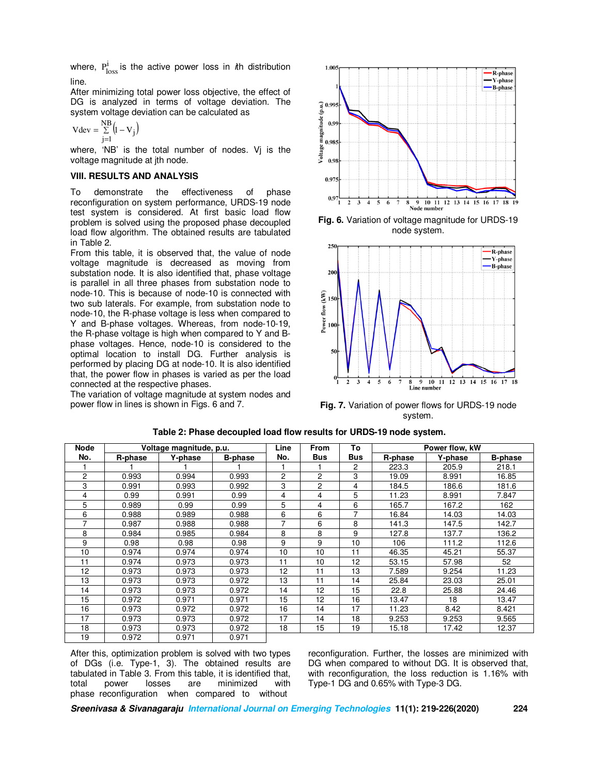where,  $P_{loss}$  is the active power loss in *i*th distribution line.

After minimizing total power loss objective, the effect of DG is analyzed in terms of voltage deviation. The system voltage deviation can be calculated as

$$
Vdev = \sum_{j=1}^{NB} \left(l - V_j\right)
$$

where, 'NB' is the total number of nodes. Vj is the voltage magnitude at jth node.

#### **VIII. RESULTS AND ANALYSIS**

To demonstrate the effectiveness of phase reconfiguration on system performance, URDS-19 node test system is considered. At first basic load flow problem is solved using the proposed phase decoupled load flow algorithm. The obtained results are tabulated in Table 2.

From this table, it is observed that, the value of node voltage magnitude is decreased as moving from substation node. It is also identified that, phase voltage is parallel in all three phases from substation node to node-10. This is because of node-10 is connected with two sub laterals. For example, from substation node to node-10, the R-phase voltage is less when compared to Y and B-phase voltages. Whereas, from node-10-19, the R-phase voltage is high when compared to Y and Bphase voltages. Hence, node-10 is considered to the optimal location to install DG. Further analysis is performed by placing DG at node-10. It is also identified that, the power flow in phases is varied as per the load connected at the respective phases.

The variation of voltage magnitude at system nodes and power flow in lines is shown in Figs. 6 and 7.



**Fig. 6.** Variation of voltage magnitude for URDS-19 node system.



**Fig. 7.** Variation of power flows for URDS-19 node system.

| <b>Node</b> | Voltage magnitude, p.u. |         |                | Line | <b>From</b> | To  | Power flow, kW |         |                |
|-------------|-------------------------|---------|----------------|------|-------------|-----|----------------|---------|----------------|
| No.         | R-phase                 | Y-phase | <b>B-phase</b> | No.  | <b>Bus</b>  | Bus | R-phase        | Y-phase | <b>B-phase</b> |
|             |                         |         |                |      |             | 2   | 223.3          | 205.9   | 218.1          |
| 2           | 0.993                   | 0.994   | 0.993          | 2    | 2           | 3   | 19.09          | 8.991   | 16.85          |
| 3           | 0.991                   | 0.993   | 0.992          | 3    | 2           | 4   | 184.5          | 186.6   | 181.6          |
| 4           | 0.99                    | 0.991   | 0.99           | 4    | 4           | 5   | 11.23          | 8.991   | 7.847          |
| 5           | 0.989                   | 0.99    | 0.99           | 5    | 4           | 6   | 165.7          | 167.2   | 162            |
| 6           | 0.988                   | 0.989   | 0.988          | 6    | 6           | 7   | 16.84          | 14.03   | 14.03          |
| 7           | 0.987                   | 0.988   | 0.988          | 7    | 6           | 8   | 141.3          | 147.5   | 142.7          |
| 8           | 0.984                   | 0.985   | 0.984          | 8    | 8           | 9   | 127.8          | 137.7   | 136.2          |
| 9           | 0.98                    | 0.98    | 0.98           | 9    | 9           | 10  | 106            | 111.2   | 112.6          |
| 10          | 0.974                   | 0.974   | 0.974          | 10   | 10          | 11  | 46.35          | 45.21   | 55.37          |
| 11          | 0.974                   | 0.973   | 0.973          | 11   | 10          | 12  | 53.15          | 57.98   | 52             |
| 12          | 0.973                   | 0.973   | 0.973          | 12   | 11          | 13  | 7.589          | 9.254   | 11.23          |
| 13          | 0.973                   | 0.973   | 0.972          | 13   | 11          | 14  | 25.84          | 23.03   | 25.01          |
| 14          | 0.973                   | 0.973   | 0.972          | 14   | 12          | 15  | 22.8           | 25.88   | 24.46          |
| 15          | 0.972                   | 0.971   | 0.971          | 15   | 12          | 16  | 13.47          | 18      | 13.47          |
| 16          | 0.973                   | 0.972   | 0.972          | 16   | 14          | 17  | 11.23          | 8.42    | 8.421          |
| 17          | 0.973                   | 0.973   | 0.972          | 17   | 14          | 18  | 9.253          | 9.253   | 9.565          |
| 18          | 0.973                   | 0.973   | 0.972          | 18   | 15          | 19  | 15.18          | 17.42   | 12.37          |
| 19          | 0.972                   | 0.971   | 0.971          |      |             |     |                |         |                |

**Table 2: Phase decoupled load flow results for URDS-19 node system.** 

After this, optimization problem is solved with two types of DGs (i.e. Type-1, 3). The obtained results are tabulated in Table 3. From this table, it is identified that, total power losses are minimized with phase reconfiguration when compared to without

reconfiguration. Further, the losses are minimized with DG when compared to without DG. It is observed that, with reconfiguration, the loss reduction is 1.16% with Type-1 DG and 0.65% with Type-3 DG.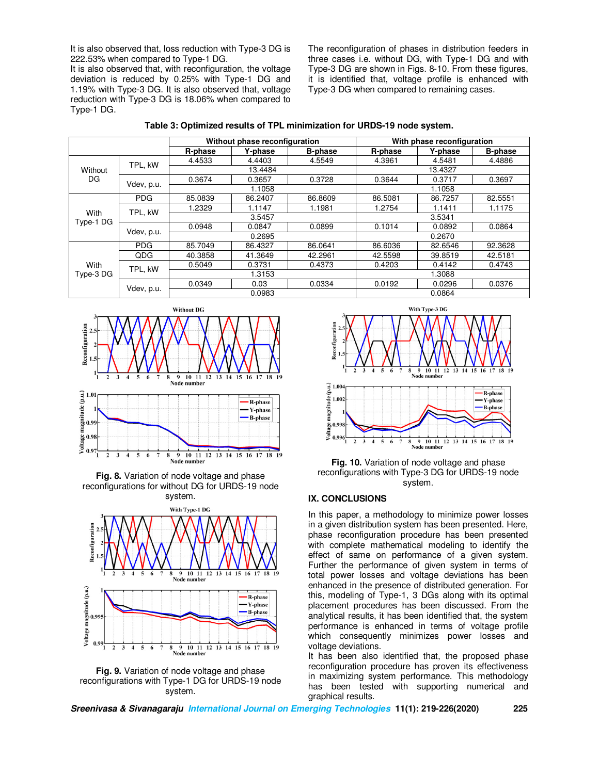It is also observed that, loss reduction with Type-3 DG is 222.53% when compared to Type-1 DG.

It is also observed that, with reconfiguration, the voltage deviation is reduced by 0.25% with Type-1 DG and 1.19% with Type-3 DG. It is also observed that, voltage reduction with Type-3 DG is 18.06% when compared to Type-1 DG.

The reconfiguration of phases in distribution feeders in three cases i.e. without DG, with Type-1 DG and with Type-3 DG are shown in Figs. 8-10. From these figures, it is identified that, voltage profile is enhanced with Type-3 DG when compared to remaining cases.

| Table 3: Optimized results of TPL minimization for URDS-19 node system. |
|-------------------------------------------------------------------------|
|-------------------------------------------------------------------------|

|                   |            |         | Without phase reconfiguration |                | With phase reconfiguration |         |                |  |
|-------------------|------------|---------|-------------------------------|----------------|----------------------------|---------|----------------|--|
|                   |            | R-phase | Y-phase                       | <b>B-phase</b> | R-phase                    | Y-phase | <b>B-phase</b> |  |
| Without<br>DG     | TPL. kW    | 4.4533  | 4.4403                        | 4.5549         | 4.3961                     | 4.5481  | 4.4886         |  |
|                   |            |         | 13.4484                       |                | 13.4327                    |         |                |  |
|                   | Vdev, p.u. | 0.3674  | 0.3657                        | 0.3728         | 0.3644                     | 0.3717  | 0.3697         |  |
|                   |            | 1.1058  |                               |                | 1.1058                     |         |                |  |
| With<br>Type-1 DG | <b>PDG</b> | 85.0839 | 86.2407                       | 86.8609        | 86.5081                    | 86.7257 | 82.5551        |  |
|                   | TPL. kW    | 1.2329  | 1.1147                        | 1.1981         | 1.2754                     | 1.1411  | 1.1175         |  |
|                   |            | 3.5457  |                               |                |                            | 3.5341  |                |  |
|                   | Vdev, p.u. | 0.0948  | 0.0847                        | 0.0899         | 0.1014                     | 0.0892  | 0.0864         |  |
|                   |            | 0.2695  |                               |                | 0.2670                     |         |                |  |
| With<br>Type-3 DG | <b>PDG</b> | 85.7049 | 86.4327                       | 86.0641        | 86.6036                    | 82.6546 | 92.3628        |  |
|                   | QDG        | 40.3858 | 41.3649                       | 42.2961        | 42.5598                    | 39.8519 | 42.5181        |  |
|                   | TPL. kW    | 0.5049  | 0.3731                        | 0.4373         | 0.4203                     | 0.4142  | 0.4743         |  |
|                   |            | 1.3153  |                               |                | 1.3088                     |         |                |  |
|                   | Vdev, p.u. | 0.0349  | 0.03                          | 0.0334         | 0.0192                     | 0.0296  | 0.0376         |  |
|                   |            | 0.0983  |                               |                | 0.0864                     |         |                |  |



**Fig. 8.** Variation of node voltage and phase reconfigurations for without DG for URDS-19 node system.







**Fig. 10.** Variation of node voltage and phase reconfigurations with Type-3 DG for URDS-19 node system.

### **IX. CONCLUSIONS**

In this paper, a methodology to minimize power losses in a given distribution system has been presented. Here, phase reconfiguration procedure has been presented with complete mathematical modeling to identify the effect of same on performance of a given system. Further the performance of given system in terms of total power losses and voltage deviations has been enhanced in the presence of distributed generation. For this, modeling of Type-1, 3 DGs along with its optimal placement procedures has been discussed. From the analytical results, it has been identified that, the system performance is enhanced in terms of voltage profile which consequently minimizes power losses and voltage deviations.

It has been also identified that, the proposed phase reconfiguration procedure has proven its effectiveness in maximizing system performance. This methodology has been tested with supporting numerical and graphical results.